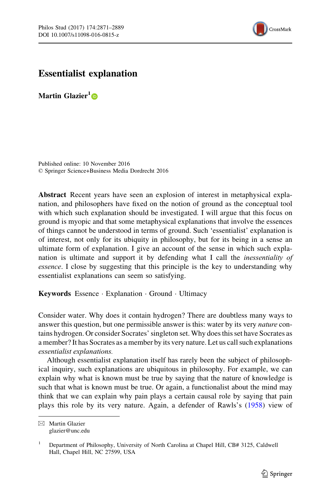

# Essentialist explanation

Martin Glazier<sup>1</sup>®

Published online: 10 November 2016 © Springer Science+Business Media Dordrecht 2016

Abstract Recent years have seen an explosion of interest in metaphysical explanation, and philosophers have fixed on the notion of ground as the conceptual tool with which such explanation should be investigated. I will argue that this focus on ground is myopic and that some metaphysical explanations that involve the essences of things cannot be understood in terms of ground. Such 'essentialist' explanation is of interest, not only for its ubiquity in philosophy, but for its being in a sense an ultimate form of explanation. I give an account of the sense in which such explanation is ultimate and support it by defending what I call the inessentiality of essence. I close by suggesting that this principle is the key to understanding why essentialist explanations can seem so satisfying.

Keywords Essence · Explanation · Ground · Ultimacy

Consider water. Why does it contain hydrogen? There are doubtless many ways to answer this question, but one permissible answer is this: water by its very *nature* contains hydrogen. Or consider Socrates' singleton set. Why does this set have Socrates as a member? It has Socrates as a member by its very nature. Let us call such explanations essentialist explanations.

Although essentialist explanation itself has rarely been the subject of philosophical inquiry, such explanations are ubiquitous in philosophy. For example, we can explain why what is known must be true by saying that the nature of knowledge is such that what is known must be true. Or again, a functionalist about the mind may think that we can explain why pain plays a certain causal role by saying that pain plays this role by its very nature. Again, a defender of Rawls's ([1958\)](#page-18-0) view of

<sup>&</sup>amp; Martin Glazier glazier@unc.edu

<sup>1</sup> Department of Philosophy, University of North Carolina at Chapel Hill, CB# 3125, Caldwell Hall, Chapel Hill, NC 27599, USA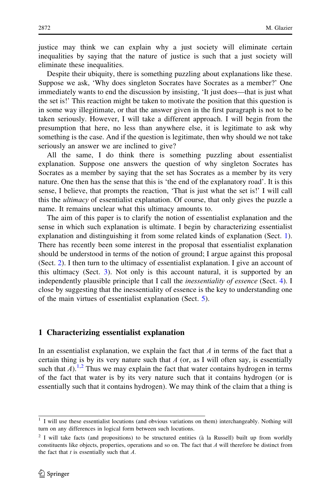justice may think we can explain why a just society will eliminate certain inequalities by saying that the nature of justice is such that a just society will eliminate these inequalities.

Despite their ubiquity, there is something puzzling about explanations like these. Suppose we ask, 'Why does singleton Socrates have Socrates as a member?' One immediately wants to end the discussion by insisting, 'It just does—that is just what the set is!' This reaction might be taken to motivate the position that this question is in some way illegitimate, or that the answer given in the first paragraph is not to be taken seriously. However, I will take a different approach. I will begin from the presumption that here, no less than anywhere else, it is legitimate to ask why something is the case. And if the question is legitimate, then why should we not take seriously an answer we are inclined to give?

All the same, I do think there is something puzzling about essentialist explanation. Suppose one answers the question of why singleton Socrates has Socrates as a member by saying that the set has Socrates as a member by its very nature. One then has the sense that this is 'the end of the explanatory road'. It is this sense, I believe, that prompts the reaction, 'That is just what the set is!' I will call this the ultimacy of essentialist explanation. Of course, that only gives the puzzle a name. It remains unclear what this ultimacy amounts to.

The aim of this paper is to clarify the notion of essentialist explanation and the sense in which such explanation is ultimate. I begin by characterizing essentialist explanation and distinguishing it from some related kinds of explanation (Sect. 1). There has recently been some interest in the proposal that essentialist explanation should be understood in terms of the notion of ground; I argue against this proposal (Sect. [2\)](#page-2-0). I then turn to the ultimacy of essentialist explanation. I give an account of this ultimacy (Sect. [3](#page-7-0)). Not only is this account natural, it is supported by an independently plausible principle that I call the *inessentiality of essence* (Sect.  $4$ ). I close by suggesting that the inessentiality of essence is the key to understanding one of the main virtues of essentialist explanation (Sect. [5\)](#page-17-0).

### 1 Characterizing essentialist explanation

In an essentialist explanation, we explain the fact that  $\Lambda$  in terms of the fact that a certain thing is by its very nature such that  $A$  (or, as I will often say, is essentially such that  $A$ ).<sup>1,2</sup> Thus we may explain the fact that water contains hydrogen in terms of the fact that water is by its very nature such that it contains hydrogen (or is essentially such that it contains hydrogen). We may think of the claim that a thing is

<sup>&</sup>lt;sup>1</sup> I will use these essentialist locutions (and obvious variations on them) interchangeably. Nothing will turn on any differences in logical form between such locutions.

 $2$  I will take facts (and propositions) to be structured entities (à la Russell) built up from worldly constituents like objects, properties, operations and so on. The fact that A will therefore be distinct from the fact that  $t$  is essentially such that  $A$ .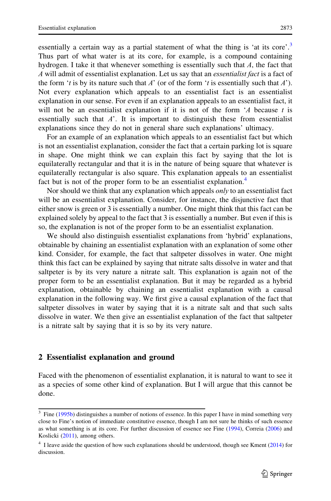<span id="page-2-0"></span>essentially a certain way as a partial statement of what the thing is 'at its core'.<sup>3</sup> Thus part of what water is at its core, for example, is a compound containing hydrogen. I take it that whenever something is essentially such that  $A$ , the fact that A will admit of essentialist explanation. Let us say that an essentialist fact is a fact of the form 't is by its nature such that A' (or of the form 't is essentially such that A'). Not every explanation which appeals to an essentialist fact is an essentialist explanation in our sense. For even if an explanation appeals to an essentialist fact, it will not be an essentialist explanation if it is not of the form  $A$  because t is essentially such that  $A'$ . It is important to distinguish these from essentialist explanations since they do not in general share such explanations' ultimacy.

For an example of an explanation which appeals to an essentialist fact but which is not an essentialist explanation, consider the fact that a certain parking lot is square in shape. One might think we can explain this fact by saying that the lot is equilaterally rectangular and that it is in the nature of being square that whatever is equilaterally rectangular is also square. This explanation appeals to an essentialist fact but is not of the proper form to be an essentialist explanation.<sup>4</sup>

Nor should we think that any explanation which appeals *only* to an essentialist fact will be an essentialist explanation. Consider, for instance, the disjunctive fact that either snow is green or 3 is essentially a number. One might think that this fact can be explained solely by appeal to the fact that 3 is essentially a number. But even if this is so, the explanation is not of the proper form to be an essentialist explanation.

We should also distinguish essentialist explanations from 'hybrid' explanations, obtainable by chaining an essentialist explanation with an explanation of some other kind. Consider, for example, the fact that saltpeter dissolves in water. One might think this fact can be explained by saying that nitrate salts dissolve in water and that saltpeter is by its very nature a nitrate salt. This explanation is again not of the proper form to be an essentialist explanation. But it may be regarded as a hybrid explanation, obtainable by chaining an essentialist explanation with a causal explanation in the following way. We first give a causal explanation of the fact that saltpeter dissolves in water by saying that it is a nitrate salt and that such salts dissolve in water. We then give an essentialist explanation of the fact that saltpeter is a nitrate salt by saying that it is so by its very nature.

## 2 Essentialist explanation and ground

Faced with the phenomenon of essentialist explanation, it is natural to want to see it as a species of some other kind of explanation. But I will argue that this cannot be done.

<sup>&</sup>lt;sup>3</sup> Fine ([1995b\)](#page-18-0) distinguishes a number of notions of essence. In this paper I have in mind something very close to Fine's notion of immediate constitutive essence, though I am not sure he thinks of such essence as what something is at its core. For further discussion of essence see Fine ([1994\)](#page-18-0), Correia ([2006](#page-18-0)) and Koslicki [\(2011](#page-18-0)), among others.

<sup>&</sup>lt;sup>4</sup> I leave aside the question of how such explanations should be understood, though see Kment ([2014](#page-18-0)) for discussion.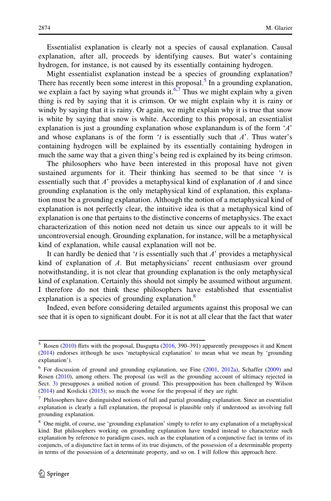Essentialist explanation is clearly not a species of causal explanation. Causal explanation, after all, proceeds by identifying causes. But water's containing hydrogen, for instance, is not caused by its essentially containing hydrogen.

Might essentialist explanation instead be a species of grounding explanation? There has recently been some interest in this proposal.<sup>5</sup> In a grounding explanation, we explain a fact by saying what grounds it.<sup>6,7</sup> Thus we might explain why a given thing is red by saying that it is crimson. Or we might explain why it is rainy or windy by saying that it is rainy. Or again, we might explain why it is true that snow is white by saying that snow is white. According to this proposal, an essentialist explanation is just a grounding explanation whose explanandum is of the form  $A$ <sup>'</sup> and whose explanans is of the form 't is essentially such that  $A'$ . Thus water's containing hydrogen will be explained by its essentially containing hydrogen in much the same way that a given thing's being red is explained by its being crimson.

The philosophers who have been interested in this proposal have not given sustained arguments for it. Their thinking has seemed to be that since  $t$  is essentially such that A' provides a metaphysical kind of explanation of A and since grounding explanation is the only metaphysical kind of explanation, this explanation must be a grounding explanation. Although the notion of a metaphysical kind of explanation is not perfectly clear, the intuitive idea is that a metaphysical kind of explanation is one that pertains to the distinctive concerns of metaphysics. The exact characterization of this notion need not detain us since our appeals to it will be uncontroversial enough. Grounding explanation, for instance, will be a metaphysical kind of explanation, while causal explanation will not be.

It can hardly be denied that 't is essentially such that  $A'$  provides a metaphysical kind of explanation of  $A$ . But metaphysicians' recent enthusiasm over ground notwithstanding, it is not clear that grounding explanation is the only metaphysical kind of explanation. Certainly this should not simply be assumed without argument. I therefore do not think these philosophers have established that essentialist explanation is a species of grounding explanation.<sup>8</sup>

Indeed, even before considering detailed arguments against this proposal we can see that it is open to significant doubt. For it is not at all clear that the fact that water

<sup>5</sup> Rosen ([2010\)](#page-18-0) flirts with the proposal, Dasgupta ([2016,](#page-18-0) 390–391) apparently presupposes it and Kment ([2014\)](#page-18-0) endorses it(though he uses 'metaphysical explanation' to mean what we mean by 'grounding explanation').

 $6$  For discussion of ground and grounding explanation, see Fine  $(2001, 2012a)$  $(2001, 2012a)$  $(2001, 2012a)$  $(2001, 2012a)$ , Schaffer  $(2009)$  $(2009)$  and Rosen ([2010\)](#page-18-0), among others. The proposal (as well as the grounding account of ultimacy rejected in Sect. [3](#page-7-0)) presupposes a unified notion of ground. This presupposition has been challenged by Wilson ([2014\)](#page-18-0) and Koslicki [\(2015](#page-18-0)); so much the worse for the proposal if they are right.

 $\frac{7}{1}$  Philosophers have distinguished notions of full and partial grounding explanation. Since an essentialist explanation is clearly a full explanation, the proposal is plausible only if understood as involving full grounding explanation.

<sup>&</sup>lt;sup>8</sup> One might, of course, use 'grounding explanation' simply to refer to any explanation of a metaphysical kind. But philosophers working on grounding explanation have tended instead to characterize such explanation by reference to paradigm cases, such as the explanation of a conjunctive fact in terms of its conjuncts, of a disjunctive fact in terms of its true disjuncts, of the possession of a determinable property in terms of the possession of a determinate property, and so on. I will follow this approach here.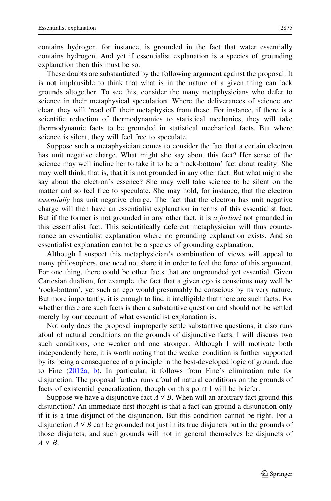contains hydrogen, for instance, is grounded in the fact that water essentially contains hydrogen. And yet if essentialist explanation is a species of grounding explanation then this must be so.

These doubts are substantiated by the following argument against the proposal. It is not implausible to think that what is in the nature of a given thing can lack grounds altogether. To see this, consider the many metaphysicians who defer to science in their metaphysical speculation. Where the deliverances of science are clear, they will 'read off' their metaphysics from these. For instance, if there is a scientific reduction of thermodynamics to statistical mechanics, they will take thermodynamic facts to be grounded in statistical mechanical facts. But where science is silent, they will feel free to speculate.

Suppose such a metaphysician comes to consider the fact that a certain electron has unit negative charge. What might she say about this fact? Her sense of the science may well incline her to take it to be a 'rock-bottom' fact about reality. She may well think, that is, that it is not grounded in any other fact. But what might she say about the electron's essence? She may well take science to be silent on the matter and so feel free to speculate. She may hold, for instance, that the electron essentially has unit negative charge. The fact that the electron has unit negative charge will then have an essentialist explanation in terms of this essentialist fact. But if the former is not grounded in any other fact, it is a *fortiori* not grounded in this essentialist fact. This scientifically deferent metaphysician will thus countenance an essentialist explanation where no grounding explanation exists. And so essentialist explanation cannot be a species of grounding explanation.

Although I suspect this metaphysician's combination of views will appeal to many philosophers, one need not share it in order to feel the force of this argument. For one thing, there could be other facts that are ungrounded yet essential. Given Cartesian dualism, for example, the fact that a given ego is conscious may well be 'rock-bottom', yet such an ego would presumably be conscious by its very nature. But more importantly, it is enough to find it intelligible that there are such facts. For whether there are such facts is then a substantive question and should not be settled merely by our account of what essentialist explanation is.

Not only does the proposal improperly settle substantive questions, it also runs afoul of natural conditions on the grounds of disjunctive facts. I will discuss two such conditions, one weaker and one stronger. Although I will motivate both independently here, it is worth noting that the weaker condition is further supported by its being a consequence of a principle in the best-developed logic of ground, due to Fine [\(2012a,](#page-18-0) [b\)](#page-18-0). In particular, it follows from Fine's elimination rule for disjunction. The proposal further runs afoul of natural conditions on the grounds of facts of existential generalization, though on this point I will be briefer.

Suppose we have a disjunctive fact  $A \vee B$ . When will an arbitrary fact ground this disjunction? An immediate first thought is that a fact can ground a disjunction only if it is a true disjunct of the disjunction. But this condition cannot be right. For a disjunction  $A \vee B$  can be grounded not just in its true disjuncts but in the grounds of those disjuncts, and such grounds will not in general themselves be disjuncts of  $A \vee B$ .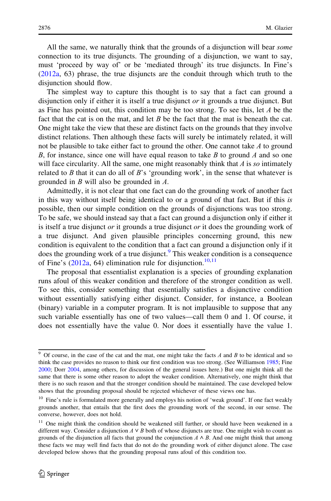All the same, we naturally think that the grounds of a disjunction will bear *some* connection to its true disjuncts. The grounding of a disjunction, we want to say, must 'proceed by way of' or be 'mediated through' its true disjuncts. In Fine's [\(2012a,](#page-18-0) 63) phrase, the true disjuncts are the conduit through which truth to the disjunction should flow.

The simplest way to capture this thought is to say that a fact can ground a disjunction only if either it is itself a true disjunct or it grounds a true disjunct. But as Fine has pointed out, this condition may be too strong. To see this, let  $A$  be the fact that the cat is on the mat, and let  $B$  be the fact that the mat is beneath the cat. One might take the view that these are distinct facts on the grounds that they involve distinct relations. Then although these facts will surely be intimately related, it will not be plausible to take either fact to ground the other. One cannot take  $A$  to ground B, for instance, since one will have equal reason to take B to ground A and so one will face circularity. All the same, one might reasonably think that  $A$  is so intimately related to B that it can do all of B's 'grounding work', in the sense that whatever is grounded in B will also be grounded in A.

Admittedly, it is not clear that one fact can do the grounding work of another fact in this way without itself being identical to or a ground of that fact. But if this is possible, then our simple condition on the grounds of disjunctions was too strong. To be safe, we should instead say that a fact can ground a disjunction only if either it is itself a true disjunct *or* it grounds a true disjunct *or* it does the grounding work of a true disjunct. And given plausible principles concerning ground, this new condition is equivalent to the condition that a fact can ground a disjunction only if it does the grounding work of a true disjunct.<sup>9</sup> This weaker condition is a consequence of Fine's  $(2012a, 64)$  $(2012a, 64)$  elimination rule for disjunction.<sup>10,11</sup>

The proposal that essentialist explanation is a species of grounding explanation runs afoul of this weaker condition and therefore of the stronger condition as well. To see this, consider something that essentially satisfies a disjunctive condition without essentially satisfying either disjunct. Consider, for instance, a Boolean (binary) variable in a computer program. It is not implausible to suppose that any such variable essentially has one of two values—call them 0 and 1. Of course, it does not essentially have the value 0. Nor does it essentially have the value 1.

 $9$  Of course, in the case of the cat and the mat, one might take the facts A and B to be identical and so think the case provides no reason to think our first condition was too strong. (See Williamson [1985;](#page-18-0) Fine [2000;](#page-18-0) Dorr [2004,](#page-18-0) among others, for discussion of the general issues here.) But one might think all the same that there is some other reason to adopt the weaker condition. Alternatively, one might think that there is no such reason and that the stronger condition should be maintained. The case developed below shows that the grounding proposal should be rejected whichever of these views one has.

 $10$  Fine's rule is formulated more generally and employs his notion of 'weak ground'. If one fact weakly grounds another, that entails that the first does the grounding work of the second, in our sense. The converse, however, does not hold.

 $11$  One might think the condition should be weakened still further, or should have been weakened in a different way. Consider a disjunction A ∨ B both of whose disjuncts are true. One might wish to count as grounds of the disjunction all facts that ground the conjunction  $A \wedge B$ . And one might think that among these facts we may well find facts that do not do the grounding work of either disjunct alone. The case developed below shows that the grounding proposal runs afoul of this condition too.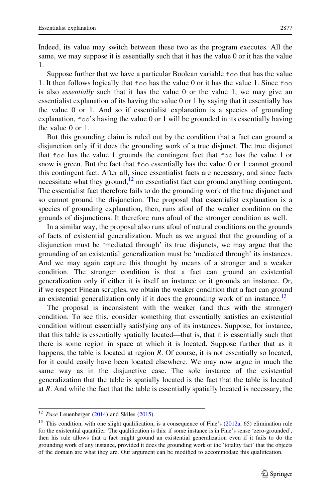Indeed, its value may switch between these two as the program executes. All the same, we may suppose it is essentially such that it has the value 0 or it has the value 1.

Suppose further that we have a particular Boolean variable foo that has the value 1. It then follows logically that foo has the value 0 or it has the value 1. Since foo is also *essentially* such that it has the value 0 or the value 1, we may give an essentialist explanation of its having the value 0 or 1 by saying that it essentially has the value 0 or 1. And so if essentialist explanation is a species of grounding explanation, foo's having the value 0 or 1 will be grounded in its essentially having the value 0 or 1.

But this grounding claim is ruled out by the condition that a fact can ground a disjunction only if it does the grounding work of a true disjunct. The true disjunct that foo has the value 1 grounds the contingent fact that foo has the value 1 or snow is green. But the fact that foo essentially has the value 0 or 1 cannot ground this contingent fact. After all, since essentialist facts are necessary, and since facts necessitate what they ground, $^{12}$  no essentialist fact can ground anything contingent. The essentialist fact therefore fails to do the grounding work of the true disjunct and so cannot ground the disjunction. The proposal that essentialist explanation is a species of grounding explanation, then, runs afoul of the weaker condition on the grounds of disjunctions. It therefore runs afoul of the stronger condition as well.

In a similar way, the proposal also runs afoul of natural conditions on the grounds of facts of existential generalization. Much as we argued that the grounding of a disjunction must be 'mediated through' its true disjuncts, we may argue that the grounding of an existential generalization must be 'mediated through' its instances. And we may again capture this thought by means of a stronger and a weaker condition. The stronger condition is that a fact can ground an existential generalization only if either it is itself an instance or it grounds an instance. Or, if we respect Finean scruples, we obtain the weaker condition that a fact can ground an existential generalization only if it does the grounding work of an instance.<sup>13</sup>

The proposal is inconsistent with the weaker (and thus with the stronger) condition. To see this, consider something that essentially satisfies an existential condition without essentially satisfying any of its instances. Suppose, for instance, that this table is essentially spatially located—that is, that it is essentially such that there is some region in space at which it is located. Suppose further that as it happens, the table is located at region  $R$ . Of course, it is not essentially so located, for it could easily have been located elsewhere. We may now argue in much the same way as in the disjunctive case. The sole instance of the existential generalization that the table is spatially located is the fact that the table is located at R. And while the fact that the table is essentially spatially located is necessary, the

 $12$  *Pace* Leuenberger ([2014\)](#page-18-0) and Skiles [\(2015\)](#page-18-0).

<sup>&</sup>lt;sup>13</sup> This condition, with one slight qualification, is a consequence of Fine's  $(2012a, 65)$  $(2012a, 65)$  $(2012a, 65)$  elimination rule for the existential quantifier. The qualification is this: if some instance is in Fine's sense 'zero-grounded', then his rule allows that a fact might ground an existential generalization even if it fails to do the grounding work of any instance, provided it does the grounding work of the 'totality fact' that the objects of the domain are what they are. Our argument can be modified to accommodate this qualification.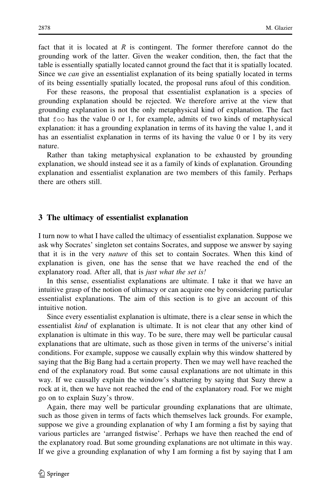<span id="page-7-0"></span>fact that it is located at  $R$  is contingent. The former therefore cannot do the grounding work of the latter. Given the weaker condition, then, the fact that the table is essentially spatially located cannot ground the fact that it is spatially located. Since we can give an essentialist explanation of its being spatially located in terms of its being essentially spatially located, the proposal runs afoul of this condition.

For these reasons, the proposal that essentialist explanation is a species of grounding explanation should be rejected. We therefore arrive at the view that grounding explanation is not the only metaphysical kind of explanation. The fact that foo has the value 0 or 1, for example, admits of two kinds of metaphysical explanation: it has a grounding explanation in terms of its having the value 1, and it has an essentialist explanation in terms of its having the value 0 or 1 by its very nature.

Rather than taking metaphysical explanation to be exhausted by grounding explanation, we should instead see it as a family of kinds of explanation. Grounding explanation and essentialist explanation are two members of this family. Perhaps there are others still.

#### 3 The ultimacy of essentialist explanation

I turn now to what I have called the ultimacy of essentialist explanation. Suppose we ask why Socrates' singleton set contains Socrates, and suppose we answer by saying that it is in the very *nature* of this set to contain Socrates. When this kind of explanation is given, one has the sense that we have reached the end of the explanatory road. After all, that is just what the set is!

In this sense, essentialist explanations are ultimate. I take it that we have an intuitive grasp of the notion of ultimacy or can acquire one by considering particular essentialist explanations. The aim of this section is to give an account of this intuitive notion.

Since every essentialist explanation is ultimate, there is a clear sense in which the essentialist kind of explanation is ultimate. It is not clear that any other kind of explanation is ultimate in this way. To be sure, there may well be particular causal explanations that are ultimate, such as those given in terms of the universe's initial conditions. For example, suppose we causally explain why this window shattered by saying that the Big Bang had a certain property. Then we may well have reached the end of the explanatory road. But some causal explanations are not ultimate in this way. If we causally explain the window's shattering by saying that Suzy threw a rock at it, then we have not reached the end of the explanatory road. For we might go on to explain Suzy's throw.

Again, there may well be particular grounding explanations that are ultimate, such as those given in terms of facts which themselves lack grounds. For example, suppose we give a grounding explanation of why I am forming a fist by saying that various particles are 'arranged fistwise'. Perhaps we have then reached the end of the explanatory road. But some grounding explanations are not ultimate in this way. If we give a grounding explanation of why I am forming a fist by saying that I am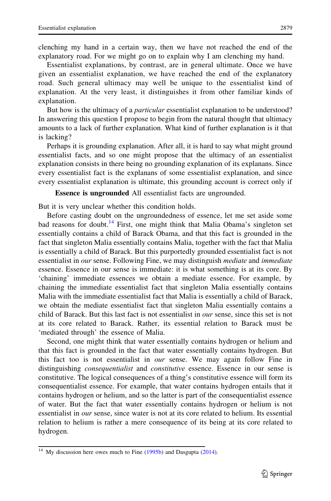clenching my hand in a certain way, then we have not reached the end of the explanatory road. For we might go on to explain why I am clenching my hand.

Essentialist explanations, by contrast, are in general ultimate. Once we have given an essentialist explanation, we have reached the end of the explanatory road. Such general ultimacy may well be unique to the essentialist kind of explanation. At the very least, it distinguishes it from other familiar kinds of explanation.

But how is the ultimacy of a *particular* essentialist explanation to be understood? In answering this question I propose to begin from the natural thought that ultimacy amounts to a lack of further explanation. What kind of further explanation is it that is lacking?

Perhaps it is grounding explanation. After all, it is hard to say what might ground essentialist facts, and so one might propose that the ultimacy of an essentialist explanation consists in there being no grounding explanation of its explanans. Since every essentialist fact is the explanans of some essentialist explanation, and since every essentialist explanation is ultimate, this grounding account is correct only if

## Essence is ungrounded All essentialist facts are ungrounded.

But it is very unclear whether this condition holds.

Before casting doubt on the ungroundedness of essence, let me set aside some bad reasons for doubt.<sup>14</sup> First, one might think that Malia Obama's singleton set essentially contains a child of Barack Obama, and that this fact is grounded in the fact that singleton Malia essentially contains Malia, together with the fact that Malia is essentially a child of Barack. But this purportedly grounded essentialist fact is not essentialist in *our* sense. Following Fine, we may distinguish *mediate* and *immediate* essence. Essence in our sense is immediate: it is what something is at its core. By 'chaining' immediate essences we obtain a mediate essence. For example, by chaining the immediate essentialist fact that singleton Malia essentially contains Malia with the immediate essentialist fact that Malia is essentially a child of Barack, we obtain the mediate essentialist fact that singleton Malia essentially contains a child of Barack. But this last fact is not essentialist in *our* sense, since this set is not at its core related to Barack. Rather, its essential relation to Barack must be 'mediated through' the essence of Malia.

Second, one might think that water essentially contains hydrogen or helium and that this fact is grounded in the fact that water essentially contains hydrogen. But this fact too is not essentialist in *our* sense. We may again follow Fine in distinguishing *consequentialist* and *constitutive* essence. Essence in our sense is constitutive. The logical consequences of a thing's constitutive essence will form its consequentialist essence. For example, that water contains hydrogen entails that it contains hydrogen or helium, and so the latter is part of the consequentialist essence of water. But the fact that water essentially contains hydrogen or helium is not essentialist in our sense, since water is not at its core related to helium. Its essential relation to helium is rather a mere consequence of its being at its core related to hydrogen.

 $14$  My discussion here owes much to Fine [\(1995b](#page-18-0)) and Dasgupta [\(2014](#page-18-0)).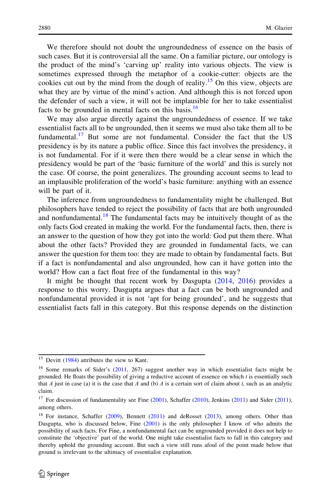We therefore should not doubt the ungroundedness of essence on the basis of such cases. But it is controversial all the same. On a familiar picture, our ontology is the product of the mind's 'carving up' reality into various objects. The view is sometimes expressed through the metaphor of a cookie-cutter: objects are the cookies cut out by the mind from the dough of reality.<sup>15</sup> On this view, objects are what they are by virtue of the mind's action. And although this is not forced upon the defender of such a view, it will not be implausible for her to take essentialist facts to be grounded in mental facts on this basis.<sup>16</sup>

We may also argue directly against the ungroundedness of essence. If we take essentialist facts all to be ungrounded, then it seems we must also take them all to be fundamental.<sup>17</sup> But some are not fundamental. Consider the fact that the US presidency is by its nature a public office. Since this fact involves the presidency, it is not fundamental. For if it were then there would be a clear sense in which the presidency would be part of the 'basic furniture of the world' and this is surely not the case. Of course, the point generalizes. The grounding account seems to lead to an implausible proliferation of the world's basic furniture: anything with an essence will be part of it.

The inference from ungroundedness to fundamentality might be challenged. But philosophers have tended to reject the possibility of facts that are both ungrounded and nonfundamental.<sup>18</sup> The fundamental facts may be intuitively thought of as the only facts God created in making the world. For the fundamental facts, then, there is an answer to the question of how they got into the world: God put them there. What about the other facts? Provided they are grounded in fundamental facts, we can answer the question for them too: they are made to obtain by fundamental facts. But if a fact is nonfundamental and also ungrounded, how can it have gotten into the world? How can a fact float free of the fundamental in this way?

It might be thought that recent work by Dasgupta ([2014,](#page-18-0) [2016](#page-18-0)) provides a response to this worry. Dasgupta argues that a fact can be both ungrounded and nonfundamental provided it is not 'apt for being grounded', and he suggests that essentialist facts fall in this category. But this response depends on the distinction

<sup>&</sup>lt;sup>15</sup> Devitt [\(1984](#page-18-0)) attributes the view to Kant.

<sup>&</sup>lt;sup>16</sup> Some remarks of Sider's ([2011,](#page-18-0) 267) suggest another way in which essentialist facts might be grounded. He floats the possibility of giving a reductive account of essence on which t is essentially such that A just in case (a) it is the case that A and (b) A is a certain sort of claim about t, such as an analytic claim.

<sup>&</sup>lt;sup>17</sup> For discussion of fundamentality see Fine ([2001\)](#page-18-0), Schaffer [\(2010](#page-18-0)), Jenkins [\(2011](#page-18-0)) and Sider ([2011\)](#page-18-0), among others.

<sup>&</sup>lt;sup>18</sup> For instance, Schaffer [\(2009](#page-18-0)), Bennett [\(2011](#page-18-0)) and deRosset ([2013\)](#page-18-0), among others. Other than Dasgupta, who is discussed below, Fine [\(2001](#page-18-0)) is the only philosopher I know of who admits the possibility of such facts. For Fine, a nonfundamental fact can be ungrounded provided it does not help to constitute the 'objective' part of the world. One might take essentialist facts to fall in this category and thereby uphold the grounding account. But such a view still runs afoul of the point made below that ground is irrelevant to the ultimacy of essentialist explanation.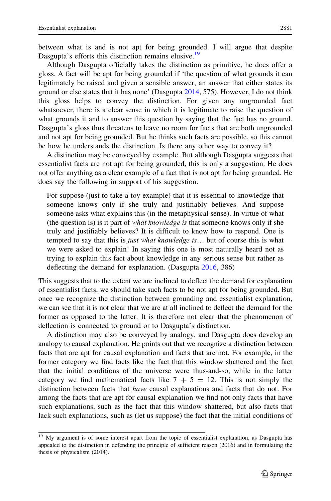between what is and is not apt for being grounded. I will argue that despite Dasgupta's efforts this distinction remains elusive.<sup>19</sup>

Although Dasgupta officially takes the distinction as primitive, he does offer a gloss. A fact will be apt for being grounded if 'the question of what grounds it can legitimately be raised and given a sensible answer, an answer that either states its ground or else states that it has none' (Dasgupta [2014,](#page-18-0) 575). However, I do not think this gloss helps to convey the distinction. For given any ungrounded fact whatsoever, there is a clear sense in which it is legitimate to raise the question of what grounds it and to answer this question by saying that the fact has no ground. Dasgupta's gloss thus threatens to leave no room for facts that are both ungrounded and not apt for being grounded. But he thinks such facts are possible, so this cannot be how he understands the distinction. Is there any other way to convey it?

A distinction may be conveyed by example. But although Dasgupta suggests that essentialist facts are not apt for being grounded, this is only a suggestion. He does not offer anything as a clear example of a fact that is not apt for being grounded. He does say the following in support of his suggestion:

For suppose (just to take a toy example) that it is essential to knowledge that someone knows only if she truly and justifiably believes. And suppose someone asks what explains this (in the metaphysical sense). In virtue of what (the question is) is it part of what knowledge is that someone knows only if she truly and justifiably believes? It is difficult to know how to respond. One is tempted to say that this is *just what knowledge is*... but of course this is what we were asked to explain! In saying this one is most naturally heard not as trying to explain this fact about knowledge in any serious sense but rather as deflecting the demand for explanation. (Dasgupta [2016,](#page-18-0) 386)

This suggests that to the extent we are inclined to deflect the demand for explanation of essentialist facts, we should take such facts to be not apt for being grounded. But once we recognize the distinction between grounding and essentialist explanation, we can see that it is not clear that we are at all inclined to deflect the demand for the former as opposed to the latter. It is therefore not clear that the phenomenon of deflection is connected to ground or to Dasgupta's distinction.

A distinction may also be conveyed by analogy, and Dasgupta does develop an analogy to causal explanation. He points out that we recognize a distinction between facts that are apt for causal explanation and facts that are not. For example, in the former category we find facts like the fact that this window shattered and the fact that the initial conditions of the universe were thus-and-so, while in the latter category we find mathematical facts like  $7 + 5 = 12$ . This is not simply the distinction between facts that have causal explanations and facts that do not. For among the facts that are apt for causal explanation we find not only facts that have such explanations, such as the fact that this window shattered, but also facts that lack such explanations, such as (let us suppose) the fact that the initial conditions of

<sup>&</sup>lt;sup>19</sup> My argument is of some interest apart from the topic of essentialist explanation, as Dasgupta has appealed to the distinction in defending the principle of sufficient reason (2016) and in formulating the thesis of physicalism (2014).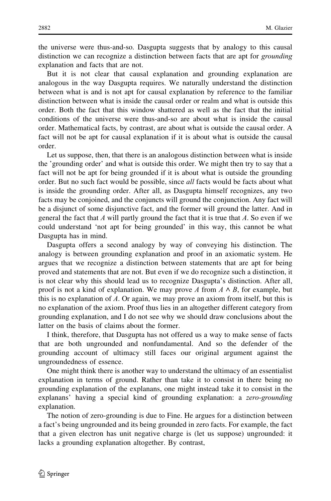the universe were thus-and-so. Dasgupta suggests that by analogy to this causal distinction we can recognize a distinction between facts that are apt for *grounding* explanation and facts that are not.

But it is not clear that causal explanation and grounding explanation are analogous in the way Dasgupta requires. We naturally understand the distinction between what is and is not apt for causal explanation by reference to the familiar distinction between what is inside the causal order or realm and what is outside this order. Both the fact that this window shattered as well as the fact that the initial conditions of the universe were thus-and-so are about what is inside the causal order. Mathematical facts, by contrast, are about what is outside the causal order. A fact will not be apt for causal explanation if it is about what is outside the causal order.

Let us suppose, then, that there is an analogous distinction between what is inside the 'grounding order' and what is outside this order. We might then try to say that a fact will not be apt for being grounded if it is about what is outside the grounding order. But no such fact would be possible, since *all* facts would be facts about what is inside the grounding order. After all, as Dasgupta himself recognizes, any two facts may be conjoined, and the conjuncts will ground the conjunction. Any fact will be a disjunct of some disjunctive fact, and the former will ground the latter. And in general the fact that A will partly ground the fact that it is true that A. So even if we could understand 'not apt for being grounded' in this way, this cannot be what Dasgupta has in mind.

Dasgupta offers a second analogy by way of conveying his distinction. The analogy is between grounding explanation and proof in an axiomatic system. He argues that we recognize a distinction between statements that are apt for being proved and statements that are not. But even if we do recognize such a distinction, it is not clear why this should lead us to recognize Dasgupta's distinction. After all, proof is not a kind of explanation. We may prove A from  $A \wedge B$ , for example, but this is no explanation of  $A$ . Or again, we may prove an axiom from itself, but this is no explanation of the axiom. Proof thus lies in an altogether different category from grounding explanation, and I do not see why we should draw conclusions about the latter on the basis of claims about the former.

I think, therefore, that Dasgupta has not offered us a way to make sense of facts that are both ungrounded and nonfundamental. And so the defender of the grounding account of ultimacy still faces our original argument against the ungroundedness of essence.

One might think there is another way to understand the ultimacy of an essentialist explanation in terms of ground. Rather than take it to consist in there being no grounding explanation of the explanans, one might instead take it to consist in the explanans' having a special kind of grounding explanation: a *zero-grounding* explanation.

The notion of zero-grounding is due to Fine. He argues for a distinction between a fact's being ungrounded and its being grounded in zero facts. For example, the fact that a given electron has unit negative charge is (let us suppose) ungrounded: it lacks a grounding explanation altogether. By contrast,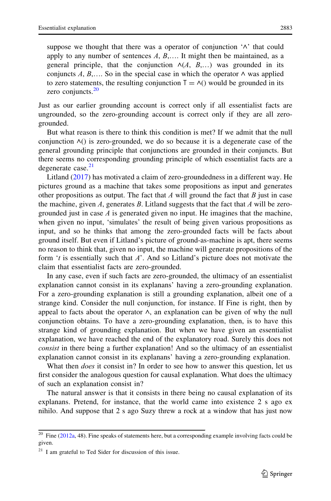suppose we thought that there was a operator of conjunction '∧' that could apply to any number of sentences  $A, B, \ldots$  It might then be maintained, as a general principle, that the conjunction  $\wedge$   $(A, B,...)$  was grounded in its conjuncts A, B,.... So in the special case in which the operator  $\wedge$  was applied to zero statements, the resulting conjunction  $T = \Lambda$ () would be grounded in its zero conjuncts. $20$ 

Just as our earlier grounding account is correct only if all essentialist facts are ungrounded, so the zero-grounding account is correct only if they are all zerogrounded.

But what reason is there to think this condition is met? If we admit that the null conjunction ∧() is zero-grounded, we do so because it is a degenerate case of the general grounding principle that conjunctions are grounded in their conjuncts. But there seems no corresponding grounding principle of which essentialist facts are a degenerate case. $21$ 

Litland [\(2017](#page-18-0)) has motivated a claim of zero-groundedness in a different way. He pictures ground as a machine that takes some propositions as input and generates other propositions as output. The fact that A will ground the fact that B just in case the machine, given A, generates B. Litland suggests that the fact that A will be zerogrounded just in case  $\vec{A}$  is generated given no input. He imagines that the machine, when given no input, 'simulates' the result of being given various propositions as input, and so he thinks that among the zero-grounded facts will be facts about ground itself. But even if Litland's picture of ground-as-machine is apt, there seems no reason to think that, given no input, the machine will generate propositions of the form 't is essentially such that  $A'$ . And so Litland's picture does not motivate the claim that essentialist facts are zero-grounded.

In any case, even if such facts are zero-grounded, the ultimacy of an essentialist explanation cannot consist in its explanans' having a zero-grounding explanation. For a zero-grounding explanation is still a grounding explanation, albeit one of a strange kind. Consider the null conjunction, for instance. If Fine is right, then by appeal to facts about the operator ∧, an explanation can be given of why the null conjunction obtains. To have a zero-grounding explanation, then, is to have this strange kind of grounding explanation. But when we have given an essentialist explanation, we have reached the end of the explanatory road. Surely this does not consist in there being a further explanation! And so the ultimacy of an essentialist explanation cannot consist in its explanans' having a zero-grounding explanation.

What then *does* it consist in? In order to see how to answer this question, let us first consider the analogous question for causal explanation. What does the ultimacy of such an explanation consist in?

The natural answer is that it consists in there being no causal explanation of its explanans. Pretend, for instance, that the world came into existence 2 s ago ex nihilo. And suppose that 2 s ago Suzy threw a rock at a window that has just now

 $20$  Fine ( $2012a$ , 48). Fine speaks of statements here, but a corresponding example involving facts could be given.

 $21$  I am grateful to Ted Sider for discussion of this issue.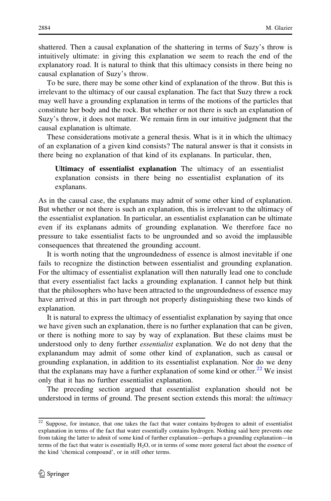shattered. Then a causal explanation of the shattering in terms of Suzy's throw is intuitively ultimate: in giving this explanation we seem to reach the end of the explanatory road. It is natural to think that this ultimacy consists in there being no causal explanation of Suzy's throw.

To be sure, there may be some other kind of explanation of the throw. But this is irrelevant to the ultimacy of our causal explanation. The fact that Suzy threw a rock may well have a grounding explanation in terms of the motions of the particles that constitute her body and the rock. But whether or not there is such an explanation of Suzy's throw, it does not matter. We remain firm in our intuitive judgment that the causal explanation is ultimate.

These considerations motivate a general thesis. What is it in which the ultimacy of an explanation of a given kind consists? The natural answer is that it consists in there being no explanation of that kind of its explanans. In particular, then,

Ultimacy of essentialist explanation The ultimacy of an essentialist explanation consists in there being no essentialist explanation of its explanans.

As in the causal case, the explanans may admit of some other kind of explanation. But whether or not there is such an explanation, this is irrelevant to the ultimacy of the essentialist explanation. In particular, an essentialist explanation can be ultimate even if its explanans admits of grounding explanation. We therefore face no pressure to take essentialist facts to be ungrounded and so avoid the implausible consequences that threatened the grounding account.

It is worth noting that the ungroundedness of essence is almost inevitable if one fails to recognize the distinction between essentialist and grounding explanation. For the ultimacy of essentialist explanation will then naturally lead one to conclude that every essentialist fact lacks a grounding explanation. I cannot help but think that the philosophers who have been attracted to the ungroundedness of essence may have arrived at this in part through not properly distinguishing these two kinds of explanation.

It is natural to express the ultimacy of essentialist explanation by saying that once we have given such an explanation, there is no further explanation that can be given, or there is nothing more to say by way of explanation. But these claims must be understood only to deny further essentialist explanation. We do not deny that the explanandum may admit of some other kind of explanation, such as causal or grounding explanation, in addition to its essentialist explanation. Nor do we deny that the explanans may have a further explanation of some kind or other.<sup>22</sup> We insist only that it has no further essentialist explanation.

The preceding section argued that essentialist explanation should not be understood in terms of ground. The present section extends this moral: the *ultimacy* 

<sup>&</sup>lt;sup>22</sup> Suppose, for instance, that one takes the fact that water contains hydrogen to admit of essentialist explanation in terms of the fact that water essentially contains hydrogen. Nothing said here prevents one from taking the latter to admit of some kind of further explanation—perhaps a grounding explanation—in terms of the fact that water is essentially  $H_2O$ , or in terms of some more general fact about the essence of the kind 'chemical compound', or in still other terms.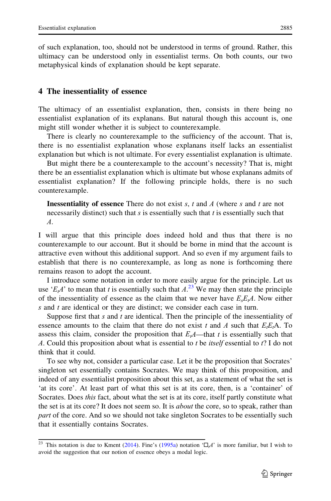<span id="page-14-0"></span>of such explanation, too, should not be understood in terms of ground. Rather, this ultimacy can be understood only in essentialist terms. On both counts, our two metaphysical kinds of explanation should be kept separate.

#### 4 The inessentiality of essence

The ultimacy of an essentialist explanation, then, consists in there being no essentialist explanation of its explanans. But natural though this account is, one might still wonder whether it is subject to counterexample.

There is clearly no counterexample to the sufficiency of the account. That is, there is no essentialist explanation whose explanans itself lacks an essentialist explanation but which is not ultimate. For every essentialist explanation is ultimate.

But might there be a counterexample to the account's necessity? That is, might there be an essentialist explanation which is ultimate but whose explanans admits of essentialist explanation? If the following principle holds, there is no such counterexample.

**Inessentiality of essence** There do not exist s, t and A (where s and t are not necessarily distinct) such that  $s$  is essentially such that  $t$  is essentially such that A.

I will argue that this principle does indeed hold and thus that there is no counterexample to our account. But it should be borne in mind that the account is attractive even without this additional support. And so even if my argument fails to establish that there is no counterexample, as long as none is forthcoming there remains reason to adopt the account.

I introduce some notation in order to more easily argue for the principle. Let us use ' $E_t A$ ' to mean that t is essentially such that  $A<sup>23</sup>$  We may then state the principle of the inessentiality of essence as the claim that we never have  $E_s E_t A$ . Now either s and t are identical or they are distinct; we consider each case in turn.

Suppose first that  $s$  and  $t$  are identical. Then the principle of the inessentiality of essence amounts to the claim that there do not exist t and A such that  $E<sub>i</sub>E<sub>i</sub>$ A. To assess this claim, consider the proposition that  $E<sub>t</sub>A$ —that t is essentially such that A. Could this proposition about what is essential to t be *itself* essential to  $t$ ? I do not think that it could.

To see why not, consider a particular case. Let it be the proposition that Socrates' singleton set essentially contains Socrates. We may think of this proposition, and indeed of any essentialist proposition about this set, as a statement of what the set is 'at its core'. At least part of what this set is at its core, then, is a 'container' of Socrates. Does this fact, about what the set is at its core, itself partly constitute what the set is at its core? It does not seem so. It is *about* the core, so to speak, rather than part of the core. And so we should not take singleton Socrates to be essentially such that it essentially contains Socrates.

<sup>&</sup>lt;sup>23</sup> This notation is due to Kment [\(2014](#page-18-0)). Fine's [\(1995a](#page-18-0)) notation ' $\square A$ ' is more familiar, but I wish to avoid the suggestion that our notion of essence obeys a modal logic.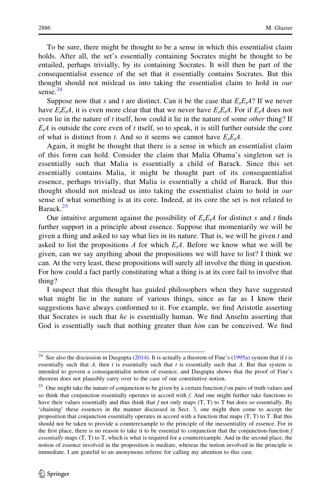To be sure, there might be thought to be a sense in which this essentialist claim holds. After all, the set's essentially containing Socrates might be thought to be entailed, perhaps trivially, by its containing Socrates. It will then be part of the consequentialist essence of the set that it essentially contains Socrates. But this thought should not mislead us into taking the essentialist claim to hold in our sense.<sup>24</sup>

Suppose now that s and t are distinct. Can it be the case that  $E<sub>s</sub>E<sub>t</sub>A$ ? If we never have  $E.E.A$ , it is even more clear that that we never have  $E.E.A$ . For if  $E.A$  does not even lie in the nature of  $t$  itself, how could it lie in the nature of some *other* thing? If  $E<sub>A</sub>$  is outside the core even of t itself, so to speak, it is still further outside the core of what is distinct from t. And so it seems we cannot have  $E_s E_t A$ .

Again, it might be thought that there is a sense in which an essentialist claim of this form can hold. Consider the claim that Malia Obama's singleton set is essentially such that Malia is essentially a child of Barack. Since this set essentially contains Malia, it might be thought part of its consequentialist essence, perhaps trivially, that Malia is essentially a child of Barack. But this thought should not mislead us into taking the essentialist claim to hold in our sense of what something is at its core. Indeed, at its core the set is not related to Barack<sup>25</sup>

Our intuitive argument against the possibility of  $E<sub>s</sub>E<sub>t</sub>A$  for distinct s and t finds further support in a principle about essence. Suppose that momentarily we will be given a thing and asked to say what lies in its nature. That is, we will be given t and asked to list the propositions A for which  $E_tA$ . Before we know what we will be given, can we say anything about the propositions we will have to list? I think we can. At the very least, these propositions will surely all involve the thing in question. For how could a fact partly constituting what a thing is at its core fail to involve that thing?

I suspect that this thought has guided philosophers when they have suggested what might lie in the nature of various things, since as far as I know their suggestions have always conformed to it. For example, we find Aristotle asserting that Socrates is such that he is essentially human. We find Anselm asserting that God is essentially such that nothing greater than him can be conceived. We find

<sup>&</sup>lt;sup>24</sup> See also the discussion in Dasgupta [\(2014\)](#page-18-0). It is actually a theorem of Fine's ([1995a](#page-18-0)) system that if t is essentially such that A, then t is essentially such that t is essentially such that A. But that system is intended to govern a consequentialist notion of essence, and Dasgupta shows that the proof of Fine's theorem does not plausibly carry over to the case of our constitutive notion.

<sup>&</sup>lt;sup>25</sup> One might take the nature of conjunction to be given by a certain function f on pairs of truth values and so think that conjunction essentially operates in accord with  $f$ . And one might further take functions to have their values essentially and thus think that  $f$  not only maps  $(T, T)$  to  $T$  but does so essentially. By 'chaining' these essences in the manner discussed in Sect. [3](#page-7-0), one might then come to accept the proposition that conjunction essentially operates in accord with a function that maps (T, T) to T. But this should not be taken to provide a counterexample to the principle of the inessentiality of essence. For in the first place, there is no reason to take it to be essential to conjunction that the conjunction-function  $f$ essentially maps (T, T) to T, which is what is required for a counterexample. And in the second place, the notion of essence involved in the proposition is mediate, whereas the notion involved in the principle is immediate. I am grateful to an anonymous referee for calling my attention to this case.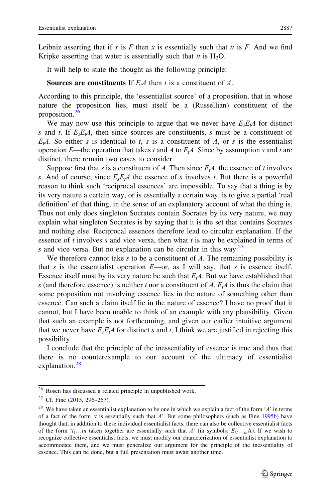Leibniz asserting that if x is F then x is essentially such that it is F. And we find Kripke asserting that water is essentially such that it is  $H_2O$ .

It will help to state the thought as the following principle:

Sources are constituents If  $E<sub>t</sub>A$  then t is a constituent of A.

According to this principle, the 'essentialist source' of a proposition, that in whose nature the proposition lies, must itself be a (Russellian) constituent of the proposition.<sup>26</sup>

We may now use this principle to argue that we never have  $E<sub>s</sub>E<sub>t</sub>A$  for distinct s and t. If  $E<sub>s</sub>E<sub>t</sub>A$ , then since sources are constituents, s must be a constituent of  $E<sub>t</sub>A$ . So either s is identical to t, s is a constituent of A, or s is the essentialist operation E—the operation that takes t and A to  $E<sub>r</sub>A$ . Since by assumption s and t are distinct, there remain two cases to consider.

Suppose first that s is a constituent of A. Then since  $E<sub>t</sub>A$ , the essence of t involves s. And of course, since  $E<sub>s</sub>E<sub>t</sub>A$  the essence of s involves t. But there is a powerful reason to think such 'reciprocal essences' are impossible. To say that a thing is by its very nature a certain way, or is essentially a certain way, is to give a partial 'real definition' of that thing, in the sense of an explanatory account of what the thing is. Thus not only does singleton Socrates contain Socrates by its very nature, we may explain what singleton Socrates is by saying that it is the set that contains Socrates and nothing else. Reciprocal essences therefore lead to circular explanation. If the essence of  $t$  involves  $s$  and vice versa, then what  $t$  is may be explained in terms of s and vice versa. But no explanation can be circular in this way. $27$ 

We therefore cannot take s to be a constituent of A. The remaining possibility is that s is the essentialist operation  $E$ —or, as I will say, that s is essence itself. Essence itself must by its very nature be such that  $E<sub>t</sub>A$ . But we have established that s (and therefore essence) is neither t nor a constituent of A.  $E_tA$  is thus the claim that some proposition not involving essence lies in the nature of something other than essence. Can such a claim itself lie in the nature of essence? I have no proof that it cannot, but I have been unable to think of an example with any plausibility. Given that such an example is not forthcoming, and given our earlier intuitive argument that we never have  $E<sub>s</sub>E<sub>t</sub>A$  for distinct s and t, I think we are justified in rejecting this possibility.

I conclude that the principle of the inessentiality of essence is true and thus that there is no counterexample to our account of the ultimacy of essentialist explanation. $28$ 

 $\overline{^{26}}$  Rosen has discussed a related principle in unpublished work.

<sup>&</sup>lt;sup>27</sup> Cf. Fine  $(2015, 296-267)$  $(2015, 296-267)$ .

<sup>&</sup>lt;sup>28</sup> We have taken an essentialist explanation to be one in which we explain a fact of the form 'A' in terms of a fact of the form 't is essentially such that  $A'$ . But some philosophers (such as Fine [1995b\)](#page-18-0) have thought that, in addition to these individual essentialist facts, there can also be collective essentialist facts of the form ' $t_1$ ...tn taken together are essentially such that A' (in symbols:  $E_t$ ...<sub>tn</sub>A). If we wish to recognize collective essentialist facts, we must modify our characterization of essentialist explanation to accommodate them, and we must generalize our argument for the principle of the inessentiality of essence. This can be done, but a full presentation must await another time.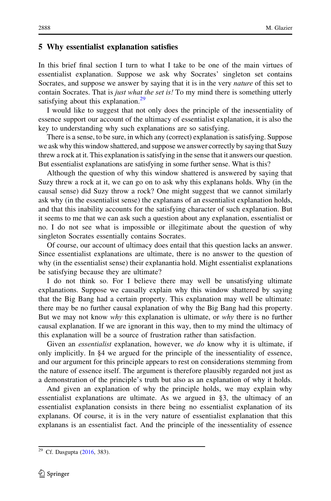#### <span id="page-17-0"></span>5 Why essentialist explanation satisfies

In this brief final section I turn to what I take to be one of the main virtues of essentialist explanation. Suppose we ask why Socrates' singleton set contains Socrates, and suppose we answer by saying that it is in the very nature of this set to contain Socrates. That is *just what the set is!* To my mind there is something utterly satisfying about this explanation.<sup>29</sup>

I would like to suggest that not only does the principle of the inessentiality of essence support our account of the ultimacy of essentialist explanation, it is also the key to understanding why such explanations are so satisfying.

There is a sense, to be sure, in which any (correct) explanation is satisfying. Suppose we ask why this window shattered, and suppose we answer correctly by saying that Suzy threw a rock at it. This explanation is satisfying in the sense that it answers our question. But essentialist explanations are satisfying in some further sense. What is this?

Although the question of why this window shattered is answered by saying that Suzy threw a rock at it, we can go on to ask why this explanans holds. Why (in the causal sense) did Suzy throw a rock? One might suggest that we cannot similarly ask why (in the essentialist sense) the explanans of an essentialist explanation holds, and that this inability accounts for the satisfying character of such explanation. But it seems to me that we can ask such a question about any explanation, essentialist or no. I do not see what is impossible or illegitimate about the question of why singleton Socrates essentially contains Socrates.

Of course, our account of ultimacy does entail that this question lacks an answer. Since essentialist explanations are ultimate, there is no answer to the question of why (in the essentialist sense) their explanantia hold. Might essentialist explanations be satisfying because they are ultimate?

I do not think so. For I believe there may well be unsatisfying ultimate explanations. Suppose we causally explain why this window shattered by saying that the Big Bang had a certain property. This explanation may well be ultimate: there may be no further causal explanation of why the Big Bang had this property. But we may not know *why* this explanation is ultimate, or *why* there is no further causal explanation. If we are ignorant in this way, then to my mind the ultimacy of this explanation will be a source of frustration rather than satisfaction.

Given an *essentialist* explanation, however, we *do* know why it is ultimate, if only implicitly. In §4 we argued for the principle of the inessentiality of essence, and our argument for this principle appears to rest on considerations stemming from the nature of essence itself. The argument is therefore plausibly regarded not just as a demonstration of the principle's truth but also as an explanation of why it holds.

And given an explanation of why the principle holds, we may explain why essentialist explanations are ultimate. As we argued in §3, the ultimacy of an essentialist explanation consists in there being no essentialist explanation of its explanans. Of course, it is in the very nature of essentialist explanation that this explanans is an essentialist fact. And the principle of the inessentiality of essence

<sup>&</sup>lt;sup>29</sup> Cf. Dasgupta ([2016,](#page-18-0) 383).